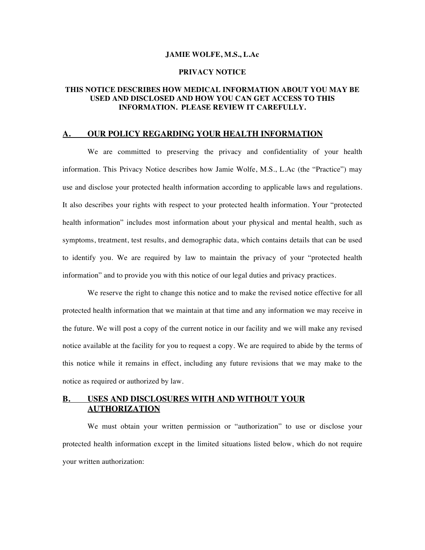#### **JAMIE WOLFE, M.S., L.Ac**

### **PRIVACY NOTICE**

## **THIS NOTICE DESCRIBES HOW MEDICAL INFORMATION ABOUT YOU MAY BE USED AND DISCLOSED AND HOW YOU CAN GET ACCESS TO THIS INFORMATION. PLEASE REVIEW IT CAREFULLY.**

#### **OUR POLICY REGARDING YOUR HEALTH INFORMATION**

We are committed to preserving the privacy and confidentiality of your health information. This Privacy Notice describes how Jamie Wolfe, M.S., L.Ac (the "Practice") may use and disclose your protected health information according to applicable laws and regulations. It also describes your rights with respect to your protected health information. Your "protected health information" includes most information about your physical and mental health, such as symptoms, treatment, test results, and demographic data, which contains details that can be used to identify you. We are required by law to maintain the privacy of your "protected health information" and to provide you with this notice of our legal duties and privacy practices.

We reserve the right to change this notice and to make the revised notice effective for all protected health information that we maintain at that time and any information we may receive in the future. We will post a copy of the current notice in our facility and we will make any revised notice available at the facility for you to request a copy. We are required to abide by the terms of this notice while it remains in effect, including any future revisions that we may make to the notice as required or authorized by law.

## **B. USES AND DISCLOSURES WITH AND WITHOUT YOUR AUTHORIZATION**

We must obtain your written permission or "authorization" to use or disclose your protected health information except in the limited situations listed below, which do not require your written authorization: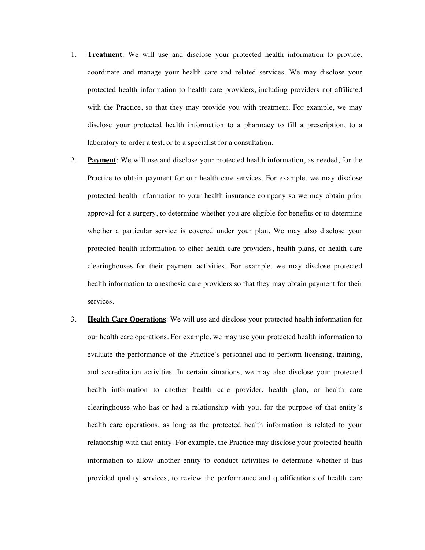- 1. **Treatment**: We will use and disclose your protected health information to provide, coordinate and manage your health care and related services. We may disclose your protected health information to health care providers, including providers not affiliated with the Practice, so that they may provide you with treatment. For example, we may disclose your protected health information to a pharmacy to fill a prescription, to a laboratory to order a test, or to a specialist for a consultation.
- 2. **Payment**: We will use and disclose your protected health information, as needed, for the Practice to obtain payment for our health care services. For example, we may disclose protected health information to your health insurance company so we may obtain prior approval for a surgery, to determine whether you are eligible for benefits or to determine whether a particular service is covered under your plan. We may also disclose your protected health information to other health care providers, health plans, or health care clearinghouses for their payment activities. For example, we may disclose protected health information to anesthesia care providers so that they may obtain payment for their services.
- 3. **Health Care Operations**: We will use and disclose your protected health information for our health care operations. For example, we may use your protected health information to evaluate the performance of the Practice's personnel and to perform licensing, training, and accreditation activities. In certain situations, we may also disclose your protected health information to another health care provider, health plan, or health care clearinghouse who has or had a relationship with you, for the purpose of that entity's health care operations, as long as the protected health information is related to your relationship with that entity. For example, the Practice may disclose your protected health information to allow another entity to conduct activities to determine whether it has provided quality services, to review the performance and qualifications of health care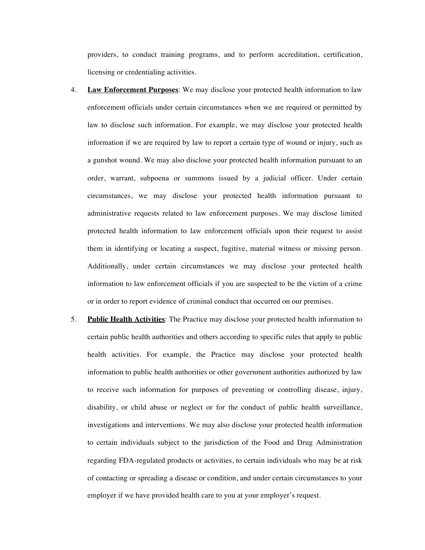providers, to conduct training programs, and to perform accreditation, certification, licensing or credentialing activities.

- 4. **Law Enforcement Purposes**: We may disclose your protected health information to law enforcement officials under certain circumstances when we are required or permitted by law to disclose such information. For example, we may disclose your protected health information if we are required by law to report a certain type of wound or injury, such as a gunshot wound. We may also disclose your protected health information pursuant to an order, warrant, subpoena or summons issued by a judicial officer. Under certain circumstances, we may disclose your protected health information pursuant to administrative requests related to law enforcement purposes. We may disclose limited protected health information to law enforcement officials upon their request to assist them in identifying or locating a suspect, fugitive, material witness or missing person. Additionally, under certain circumstances we may disclose your protected health information to law enforcement officials if you are suspected to be the victim of a crime or in order to report evidence of criminal conduct that occurred on our premises.
- 5. **Public Health Activities**: The Practice may disclose your protected health information to certain public health authorities and others according to specific rules that apply to public health activities. For example, the Practice may disclose your protected health information to public health authorities or other government authorities authorized by law to receive such information for purposes of preventing or controlling disease, injury, disability, or child abuse or neglect or for the conduct of public health surveillance, investigations and interventions. We may also disclose your protected health information to certain individuals subject to the jurisdiction of the Food and Drug Administration regarding FDA-regulated products or activities, to certain individuals who may be at risk of contacting or spreading a disease or condition, and under certain circumstances to your employer if we have provided health care to you at your employer's request.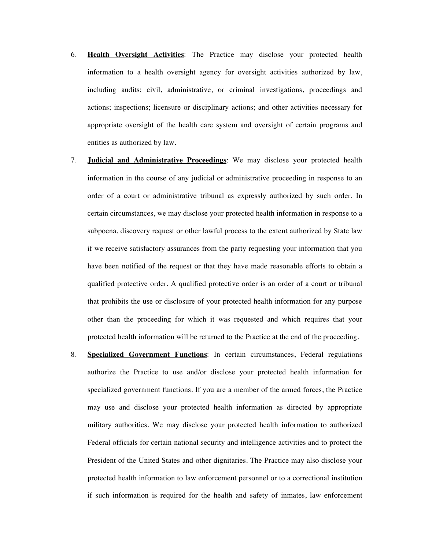- 6. **Health Oversight Activities**: The Practice may disclose your protected health information to a health oversight agency for oversight activities authorized by law, including audits; civil, administrative, or criminal investigations, proceedings and actions; inspections; licensure or disciplinary actions; and other activities necessary for appropriate oversight of the health care system and oversight of certain programs and entities as authorized by law.
- 7. **Judicial and Administrative Proceedings**: We may disclose your protected health information in the course of any judicial or administrative proceeding in response to an order of a court or administrative tribunal as expressly authorized by such order. In certain circumstances, we may disclose your protected health information in response to a subpoena, discovery request or other lawful process to the extent authorized by State law if we receive satisfactory assurances from the party requesting your information that you have been notified of the request or that they have made reasonable efforts to obtain a qualified protective order. A qualified protective order is an order of a court or tribunal that prohibits the use or disclosure of your protected health information for any purpose other than the proceeding for which it was requested and which requires that your protected health information will be returned to the Practice at the end of the proceeding.
- 8. **Specialized Government Functions**: In certain circumstances, Federal regulations authorize the Practice to use and/or disclose your protected health information for specialized government functions. If you are a member of the armed forces, the Practice may use and disclose your protected health information as directed by appropriate military authorities. We may disclose your protected health information to authorized Federal officials for certain national security and intelligence activities and to protect the President of the United States and other dignitaries. The Practice may also disclose your protected health information to law enforcement personnel or to a correctional institution if such information is required for the health and safety of inmates, law enforcement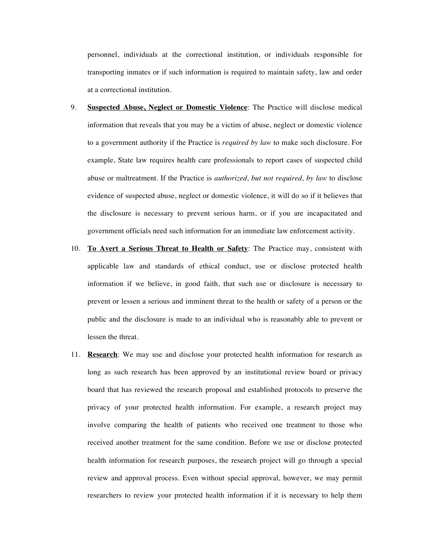personnel, individuals at the correctional institution, or individuals responsible for transporting inmates or if such information is required to maintain safety, law and order at a correctional institution.

- 9. **Suspected Abuse, Neglect or Domestic Violence**: The Practice will disclose medical information that reveals that you may be a victim of abuse, neglect or domestic violence to a government authority if the Practice is *required by law* to make such disclosure. For example, State law requires health care professionals to report cases of suspected child abuse or maltreatment. If the Practice is *authorized, but not required, by law* to disclose evidence of suspected abuse, neglect or domestic violence, it will do so if it believes that the disclosure is necessary to prevent serious harm, or if you are incapacitated and government officials need such information for an immediate law enforcement activity.
- 10. **To Avert a Serious Threat to Health or Safety**: The Practice may, consistent with applicable law and standards of ethical conduct, use or disclose protected health information if we believe, in good faith, that such use or disclosure is necessary to prevent or lessen a serious and imminent threat to the health or safety of a person or the public and the disclosure is made to an individual who is reasonably able to prevent or lessen the threat.
- 11. **Research**: We may use and disclose your protected health information for research as long as such research has been approved by an institutional review board or privacy board that has reviewed the research proposal and established protocols to preserve the privacy of your protected health information. For example, a research project may involve comparing the health of patients who received one treatment to those who received another treatment for the same condition. Before we use or disclose protected health information for research purposes, the research project will go through a special review and approval process. Even without special approval, however, we may permit researchers to review your protected health information if it is necessary to help them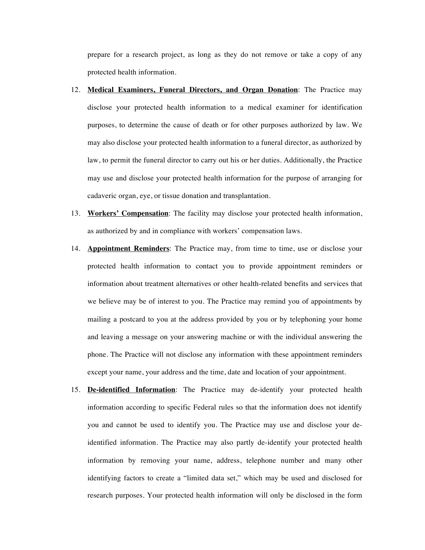prepare for a research project, as long as they do not remove or take a copy of any protected health information.

- 12. **Medical Examiners, Funeral Directors, and Organ Donation**: The Practice may disclose your protected health information to a medical examiner for identification purposes, to determine the cause of death or for other purposes authorized by law. We may also disclose your protected health information to a funeral director, as authorized by law, to permit the funeral director to carry out his or her duties. Additionally, the Practice may use and disclose your protected health information for the purpose of arranging for cadaveric organ, eye, or tissue donation and transplantation.
- 13. **Workers' Compensation**: The facility may disclose your protected health information, as authorized by and in compliance with workers' compensation laws.
- 14. **Appointment Reminders**: The Practice may, from time to time, use or disclose your protected health information to contact you to provide appointment reminders or information about treatment alternatives or other health-related benefits and services that we believe may be of interest to you. The Practice may remind you of appointments by mailing a postcard to you at the address provided by you or by telephoning your home and leaving a message on your answering machine or with the individual answering the phone. The Practice will not disclose any information with these appointment reminders except your name, your address and the time, date and location of your appointment.
- 15. **De-identified Information**: The Practice may de-identify your protected health information according to specific Federal rules so that the information does not identify you and cannot be used to identify you. The Practice may use and disclose your deidentified information. The Practice may also partly de-identify your protected health information by removing your name, address, telephone number and many other identifying factors to create a "limited data set," which may be used and disclosed for research purposes. Your protected health information will only be disclosed in the form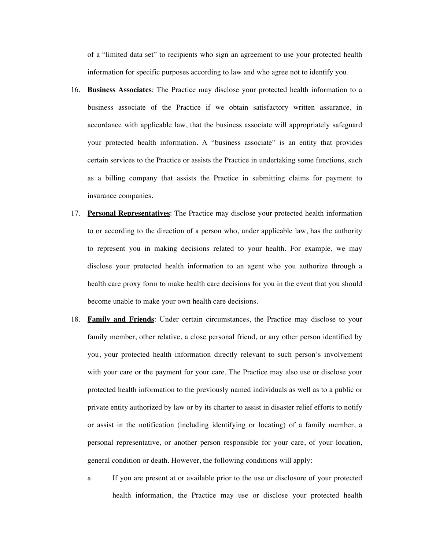of a "limited data set" to recipients who sign an agreement to use your protected health information for specific purposes according to law and who agree not to identify you.

- 16. **Business Associates**: The Practice may disclose your protected health information to a business associate of the Practice if we obtain satisfactory written assurance, in accordance with applicable law, that the business associate will appropriately safeguard your protected health information. A "business associate" is an entity that provides certain services to the Practice or assists the Practice in undertaking some functions, such as a billing company that assists the Practice in submitting claims for payment to insurance companies.
- 17. **Personal Representatives**: The Practice may disclose your protected health information to or according to the direction of a person who, under applicable law, has the authority to represent you in making decisions related to your health. For example, we may disclose your protected health information to an agent who you authorize through a health care proxy form to make health care decisions for you in the event that you should become unable to make your own health care decisions.
- 18. **Family and Friends**: Under certain circumstances, the Practice may disclose to your family member, other relative, a close personal friend, or any other person identified by you, your protected health information directly relevant to such person's involvement with your care or the payment for your care. The Practice may also use or disclose your protected health information to the previously named individuals as well as to a public or private entity authorized by law or by its charter to assist in disaster relief efforts to notify or assist in the notification (including identifying or locating) of a family member, a personal representative, or another person responsible for your care, of your location, general condition or death. However, the following conditions will apply:
	- a. If you are present at or available prior to the use or disclosure of your protected health information, the Practice may use or disclose your protected health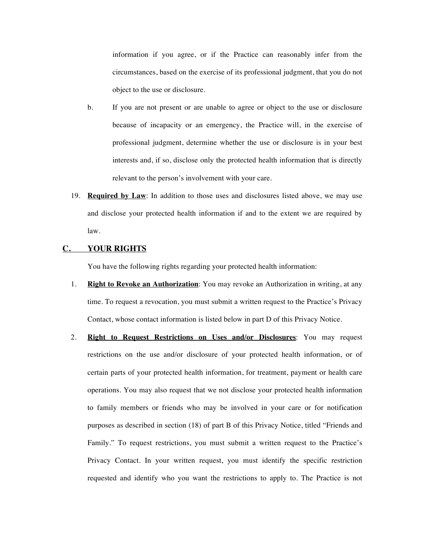information if you agree, or if the Practice can reasonably infer from the circumstances, based on the exercise of its professional judgment, that you do not object to the use or disclosure.

- b. If you are not present or are unable to agree or object to the use or disclosure because of incapacity or an emergency, the Practice will, in the exercise of professional judgment, determine whether the use or disclosure is in your best interests and, if so, disclose only the protected health information that is directly relevant to the person's involvement with your care.
- 19. **Required by Law**: In addition to those uses and disclosures listed above, we may use and disclose your protected health information if and to the extent we are required by law.

## **C. YOUR RIGHTS**

You have the following rights regarding your protected health information:

- 1. **Right to Revoke an Authorization**: You may revoke an Authorization in writing, at any time. To request a revocation, you must submit a written request to the Practice's Privacy Contact, whose contact information is listed below in part D of this Privacy Notice.
- 2. **Right to Request Restrictions on Uses and/or Disclosures**: You may request restrictions on the use and/or disclosure of your protected health information, or of certain parts of your protected health information, for treatment, payment or health care operations. You may also request that we not disclose your protected health information to family members or friends who may be involved in your care or for notification purposes as described in section (18) of part B of this Privacy Notice, titled "Friends and Family." To request restrictions, you must submit a written request to the Practice's Privacy Contact. In your written request, you must identify the specific restriction requested and identify who you want the restrictions to apply to. The Practice is not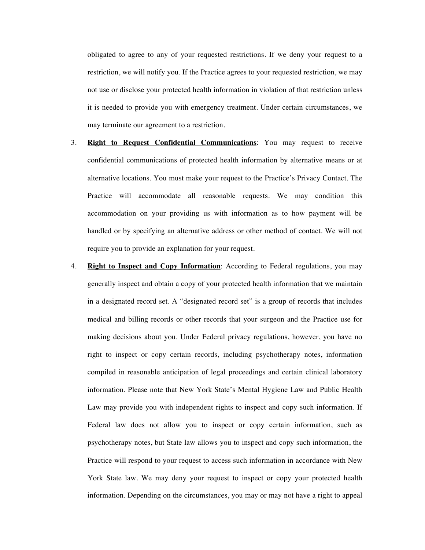obligated to agree to any of your requested restrictions. If we deny your request to a restriction, we will notify you. If the Practice agrees to your requested restriction, we may not use or disclose your protected health information in violation of that restriction unless it is needed to provide you with emergency treatment. Under certain circumstances, we may terminate our agreement to a restriction.

- 3. **Right to Request Confidential Communications**: You may request to receive confidential communications of protected health information by alternative means or at alternative locations. You must make your request to the Practice's Privacy Contact. The Practice will accommodate all reasonable requests. We may condition this accommodation on your providing us with information as to how payment will be handled or by specifying an alternative address or other method of contact. We will not require you to provide an explanation for your request.
- 4. **Right to Inspect and Copy Information**: According to Federal regulations, you may generally inspect and obtain a copy of your protected health information that we maintain in a designated record set. A "designated record set" is a group of records that includes medical and billing records or other records that your surgeon and the Practice use for making decisions about you. Under Federal privacy regulations, however, you have no right to inspect or copy certain records, including psychotherapy notes, information compiled in reasonable anticipation of legal proceedings and certain clinical laboratory information. Please note that New York State's Mental Hygiene Law and Public Health Law may provide you with independent rights to inspect and copy such information. If Federal law does not allow you to inspect or copy certain information, such as psychotherapy notes, but State law allows you to inspect and copy such information, the Practice will respond to your request to access such information in accordance with New York State law. We may deny your request to inspect or copy your protected health information. Depending on the circumstances, you may or may not have a right to appeal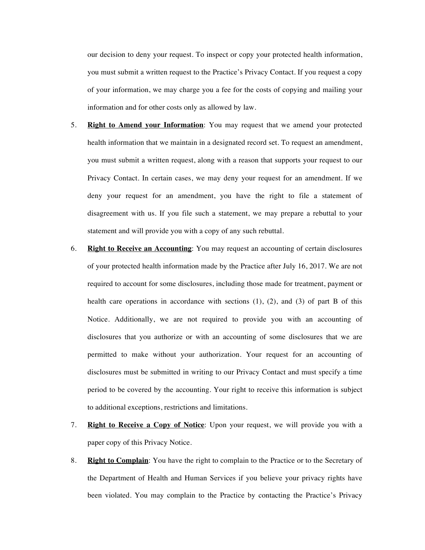our decision to deny your request. To inspect or copy your protected health information, you must submit a written request to the Practice's Privacy Contact. If you request a copy of your information, we may charge you a fee for the costs of copying and mailing your information and for other costs only as allowed by law.

- 5. **Right to Amend your Information**: You may request that we amend your protected health information that we maintain in a designated record set. To request an amendment, you must submit a written request, along with a reason that supports your request to our Privacy Contact. In certain cases, we may deny your request for an amendment. If we deny your request for an amendment, you have the right to file a statement of disagreement with us. If you file such a statement, we may prepare a rebuttal to your statement and will provide you with a copy of any such rebuttal.
- 6. **Right to Receive an Accounting**: You may request an accounting of certain disclosures of your protected health information made by the Practice after July 16, 2017. We are not required to account for some disclosures, including those made for treatment, payment or health care operations in accordance with sections (1), (2), and (3) of part B of this Notice. Additionally, we are not required to provide you with an accounting of disclosures that you authorize or with an accounting of some disclosures that we are permitted to make without your authorization. Your request for an accounting of disclosures must be submitted in writing to our Privacy Contact and must specify a time period to be covered by the accounting. Your right to receive this information is subject to additional exceptions, restrictions and limitations.
- 7. **Right to Receive a Copy of Notice**: Upon your request, we will provide you with a paper copy of this Privacy Notice.
- 8. **Right to Complain**: You have the right to complain to the Practice or to the Secretary of the Department of Health and Human Services if you believe your privacy rights have been violated. You may complain to the Practice by contacting the Practice's Privacy